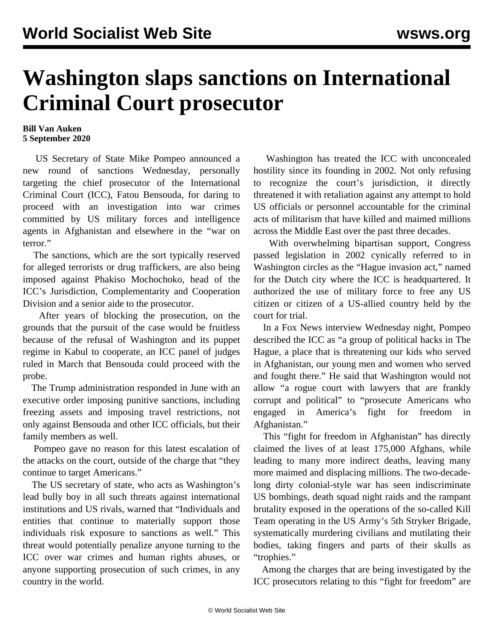## **Washington slaps sanctions on International Criminal Court prosecutor**

## **Bill Van Auken 5 September 2020**

 US Secretary of State Mike Pompeo announced a new round of sanctions Wednesday, personally targeting the chief prosecutor of the International Criminal Court (ICC), Fatou Bensouda, for daring to proceed with an investigation into war crimes committed by US military forces and intelligence agents in Afghanistan and elsewhere in the "war on terror."

 The sanctions, which are the sort typically reserved for alleged terrorists or drug traffickers, are also being imposed against Phakiso Mochochoko, head of the ICC's Jurisdiction, Complementarity and Cooperation Division and a senior aide to the prosecutor.

 After years of blocking the prosecution, on the grounds that the pursuit of the case would be fruitless because of the refusal of Washington and its puppet regime in Kabul to cooperate, an ICC panel of judges ruled in March that Bensouda could proceed with the probe.

 The Trump administration responded in June with an executive order imposing punitive sanctions, including freezing assets and imposing travel restrictions, not only against Bensouda and other ICC officials, but their family members as well.

 Pompeo gave no reason for this latest escalation of the attacks on the court, outside of the charge that "they continue to target Americans."

 The US secretary of state, who acts as Washington's lead bully boy in all such threats against international institutions and US rivals, warned that "Individuals and entities that continue to materially support those individuals risk exposure to sanctions as well." This threat would potentially penalize anyone turning to the ICC over war crimes and human rights abuses, or anyone supporting prosecution of such crimes, in any country in the world.

 Washington has treated the ICC with unconcealed hostility since its founding in 2002. Not only refusing to recognize the court's jurisdiction, it directly threatened it with retaliation against any attempt to hold US officials or personnel accountable for the criminal acts of militarism that have killed and maimed millions across the Middle East over the past three decades.

 With overwhelming bipartisan support, Congress passed legislation in 2002 cynically referred to in Washington circles as the "Hague invasion act," named for the Dutch city where the ICC is headquartered. It authorized the use of military force to free any US citizen or citizen of a US-allied country held by the court for trial.

 In a Fox News interview Wednesday night, Pompeo described the ICC as "a group of political hacks in The Hague, a place that is threatening our kids who served in Afghanistan, our young men and women who served and fought there." He said that Washington would not allow "a rogue court with lawyers that are frankly corrupt and political" to "prosecute Americans who engaged in America's fight for freedom in Afghanistan."

 This "fight for freedom in Afghanistan" has directly claimed the lives of at least 175,000 Afghans, while leading to many more indirect deaths, leaving many more maimed and displacing millions. The two-decadelong dirty colonial-style war has seen indiscriminate US bombings, death squad night raids and the rampant brutality exposed in the operations of the so-called Kill Team operating in the US Army's 5th Stryker Brigade, systematically murdering civilians and mutilating their bodies, taking fingers and parts of their skulls as "trophies."

 Among the charges that are being investigated by the ICC prosecutors relating to this "fight for freedom" are